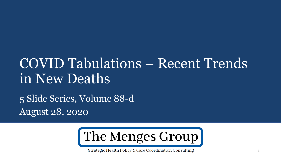# COVID Tabulations – Recent Trends in New Deaths

5 Slide Series, Volume 88-d August 28, 2020



Strategic Health Policy & Care Coordination Consulting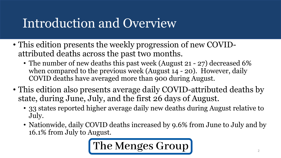### Introduction and Overview

- This edition presents the weekly progression of new COVIDattributed deaths across the past two months.
	- The number of new deaths this past week (August 21 27) decreased 6% when compared to the previous week (August 14 - 20). However, daily COVID deaths have averaged more than 900 during August.
- This edition also presents average daily COVID-attributed deaths by state, during June, July, and the first 26 days of August.
	- 33 states reported higher average daily new deaths during August relative to July.
	- Nationwide, daily COVID deaths increased by 9.6% from June to July and by 16.1% from July to August.

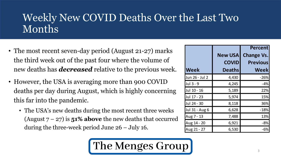### Weekly New COVID Deaths Over the Last Two Months

- The most recent seven-day period (August 21-27) marks the third week out of the past four where the volume of new deaths has *decreased* relative to the previous week.
- However, the USA is averaging more than 900 COVID deaths per day during August, which is highly concerning this far into the pandemic.
	- The USA's new deaths during the most recent three weeks (August  $7 - 27$ ) is **51% above** the new deaths that occurred during the three-week period June 26 – July 16.

|                |                | <b>Percent</b>    |  |
|----------------|----------------|-------------------|--|
|                | <b>New USA</b> | <b>Change Vs.</b> |  |
|                | <b>COVID</b>   | <b>Previous</b>   |  |
| <b>Week</b>    | <b>Deaths</b>  | Weekl             |  |
| Jun 26 - Jul 2 | 4,430          | $-26%$            |  |
| Jul 3 - 9      | 4,245          | $-4%$             |  |
| Jul 10 - 16    | 5,189          | 22%               |  |
| Jul 17 - 23    | 5,974          | 15%               |  |
| Jul 24 - 30    | 8,118          | 36%               |  |
| Jul 31 - Aug 6 | 6,628          | $-18%$            |  |
| Aug 7 - 13     | 7,488          | 13%               |  |
| Aug 14 - 20    | 6,921          | $-8%$             |  |
| Aug 21 - 27    | 6,530          | -6%               |  |

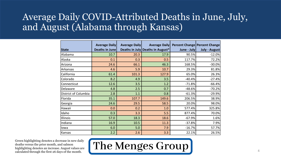#### Average Daily COVID-Attributed Deaths in June, July, and August (Alabama through Kansas)

|                      | <b>Average Daily</b> | <b>Average Daily</b> | <b>Average Daily</b>             |             | <b>Percent Change Percent Change</b> |
|----------------------|----------------------|----------------------|----------------------------------|-------------|--------------------------------------|
| <b>State</b>         | Deaths in June       |                      | Deaths in July Deaths in August* | June - July | <b>July - August</b>                 |
| Alabama              | 10.7                 | 20.3                 | 17.9                             | 90.5%       | $-12.0%$                             |
| Alaska               | 0.1                  | 0.3                  | 0.5                              | 117.7%      | 72.2%                                |
| Arizona              | 24.6                 | 66.1                 | 46.3                             | 168.5%      | $-30.0%$                             |
| Arkansas             | 4.6                  | 5.9                  | 10.7                             | 29.3%       | 81.8%                                |
| California           | 61.4                 | 101.3                | 127.9                            | 65.0%       | 26.3%                                |
| Colorado             | 8.2                  | 4.9                  | 3.5                              | $-40.4%$    | $-27.4%$                             |
| Connecticut          | 12.6                 | 3.5                  | 1.2                              | $-71.8%$    | $-66.4%$                             |
| Delaware             | 4.8                  | 2.5                  | 0.7                              | $-48.6%$    | $-70.2%$                             |
| District of Columbia | 2.8                  | 1.1                  | 0.8                              | $-61.3%$    | $-29.9%$                             |
| Florida              | 35.1                 | 107.7                | 149.6                            | 206.5%      | 38.9%                                |
| Georgia              | 24.6                 | 29.5                 | 58.5                             | 20.0%       | 98.0%                                |
| Hawaii               | 0.0                  | 0.2                  | 1.0                              | 577.4%      | 325.8%                               |
| Idaho                | 0.3                  | 3.3                  | 5.5                              | 877.4%      | 70.0%                                |
| Illinois             | 57.0                 | 18.3                 | 18.6                             | $-67.9%$    | 1.6%                                 |
| Indiana              | 16.9                 | 10.5                 | 11.3                             | $-37.8%$    | 7.9%                                 |
| lowa                 | 6.0                  | 5.0                  | 7.9                              | $-16.7%$    | 57.7%                                |
| Kansas               | 2.2                  | 2.6                  | 3.3                              | 22.1%       | 26.5%                                |

Green highlighting denotes a decrease in new daily deaths versus the prior month, and salmon highlighting denotes an increase. August values are calculated through the first 26 days of the month.

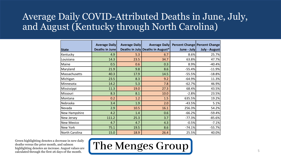#### Average Daily COVID-Attributed Deaths in June, July, and August (Kentucky through North Carolina)

|                   | <b>Average Daily</b> | <b>Average Daily</b> | <b>Average Daily</b>             |             | <b>Percent Change Percent Change</b> |
|-------------------|----------------------|----------------------|----------------------------------|-------------|--------------------------------------|
| <b>State</b>      | Deaths in June       |                      | Deaths in July Deaths in August* | June - July | July - August                        |
| Kentucky          | 4.9                  | 5.3                  | 6.7                              | 8.6%        | 25.7%                                |
| Louisiana         | 14.3                 | 23.5                 | 34.7                             | 63.8%       | 47.7%                                |
| Maine             | 0.5                  | 0.6                  | 0.3                              | 8.9%        | $-40.4%$                             |
| Maryland          | 21.9                 | 9.8                  | 8.6                              | $-55.4%$    | $-11.9%$                             |
| Massachusetts     | 40.3                 | 17.9                 | 14.5                             | $-55.5%$    | $-18.8%$                             |
| Michigan          | 23.5                 | 8.3                  | 9.2                              | $-64.9%$    | 11.3%                                |
| Minnesota         | 14.2                 | 5.3                  | 7.8                              | $-62.7%$    | 46.9%                                |
| Mississippi       | 11.3                 | 19.0                 | 27.3                             | 68.4%       | 43.5%                                |
| Missouri          | 8.3                  | 8.1                  | 10.0                             | $-2.8%$     | 23.5%                                |
| Montana           | 0.2                  | 1.2                  | 1.5                              | 635.5%      | 19.2%                                |
| Nebraska          | 3.4                  | 1.9                  | 2.0                              | $-43.5%$    | 5.1%                                 |
| Nevada            | 2.9                  | 10.5                 | 16.1                             | 256.3%      | 54.2%                                |
| New Hampshire     | 4.2                  | 1.4                  | 0.6                              | $-66.2%$    | $-59.4%$                             |
| New Jersey        | 111.2                | 25.3                 | 3.7                              | $-77.3%$    | $-85.6%$                             |
| <b>New Mexico</b> | 4.7                  | 4.7                  | 4.3                              | $-0.5%$     | $-7.1%$                              |
| New York          | 75.1                 | 19.5                 | 8.6                              | $-74.1%$    | $-55.7%$                             |
| North Carolina    | 15.0                 | 18.9                 | 26.4                             | 25.5%       | 40.0%                                |

Green highlighting denotes a decrease in new daily deaths versus the prior month, and salmon highlighting denotes an increase. August values are calculated through the first 26 days of the month.

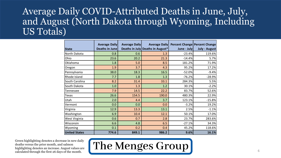#### Average Daily COVID-Attributed Deaths in June, July, and August (North Dakota through Wyoming, Including US Totals)

|                      | <b>Average Daily</b>  | <b>Average Daily</b> | <b>Average Daily</b>             |             | <b>Percent Change Percent Change</b> |
|----------------------|-----------------------|----------------------|----------------------------------|-------------|--------------------------------------|
| <b>State</b>         | <b>Deaths in June</b> |                      | Deaths in July Deaths in August* | June - July | <b>July - August</b>                 |
| North Dakota         | 0.8                   | 0.6                  | 1.3                              | $-23.4%$    | 119.6%                               |
| Ohio                 | 23.6                  | 20.2                 | 21.3                             | $-14.4%$    | 5.7%                                 |
| Oklahoma             | 1.8                   | 5.0                  | 8.5                              | 181.2%      | 71.9%                                |
| Oregon               | 1.9                   | 3.7                  | 4.3                              | 95.2%       | 17.2%                                |
| Pennsylvania         | 38.0                  | 18.3                 | 16.5                             | $-52.0%$    | $-9.4%$                              |
| Rhode Island         | 7.7                   | 1.8                  | 1.3                              | $-76.2%$    | $-28.9%$                             |
| South Carolina       | 8.2                   | 31.4                 | 33.1                             | 284.3%      | 5.5%                                 |
| South Dakota         | 1.0                   | 1.3                  | 1.2                              | 30.1%       | $-2.2%$                              |
| Tennessee            | 7.9                   | 14.5                 | 22.2                             | 83.7%       | 52.6%                                |
| Texas                | 26.6                  | 154.5                | 190.0                            | 480.3%      | 22.9%                                |
| Utah                 | 2.0                   | 4.4                  | 3.7                              | 123.1%      | $-15.8%$                             |
| Vermont              | 0.0                   | 0.0                  | 0.0                              | $-3.2%$     | 19.2%                                |
| Virginia             | 12.9                  | 13.3                 | 13.1                             | 2.5%        | $-1.1%$                              |
| Washington           | 6.9                   | 10.4                 | 12.1                             | 50.1%       | 17.0%                                |
| West Virginia        | 0.6                   | 0.7                  | 2.8                              | 23.7%       | 283.6%                               |
| Wisconsin            | 6.6                   | 4.8                  | 6.5                              | $-27.1%$    | 34.3%                                |
| Wyoming              | 0.1                   | 0.2                  | 0.4                              | 45.2%       | 118.6%                               |
| <b>United States</b> | 774.6                 | 849.1                | 986.2                            | 9.6%        | 16.1%                                |

Green highlighting denotes a decrease in new daily deaths versus the prior month, and salmon highlighting denotes an increase. August values are calculated through the first 26 days of the month.

### The Menges Group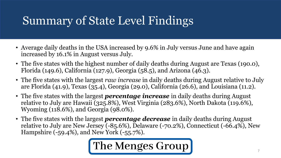### Summary of State Level Findings

- Average daily deaths in the USA increased by 9.6% in July versus June and have again increased by 16.1% in August versus July.
- The five states with the highest number of daily deaths during August are Texas (190.0), Florida (149.6), California (127.9), Georgia (58.5), and Arizona (46.3).
- The five states with the largest *raw increase* in daily deaths during August relative to July are Florida (41.9), Texas (35.4), Georgia (29.0), California (26.6), and Louisiana (11.2).
- The five states with the largest *percentage increase* in daily deaths during August relative to July are Hawaii (325.8%), West Virginia (283.6%), North Dakota (119.6%), Wyoming (118.6%), and Georgia (98.0%).
- The five states with the largest *percentage decrease* in daily deaths during August relative to July are New Jersey (-85.6%), Delaware (-70.2%), Connecticut (-66.4%), New Hampshire (-59.4%), and New York (-55.7%).